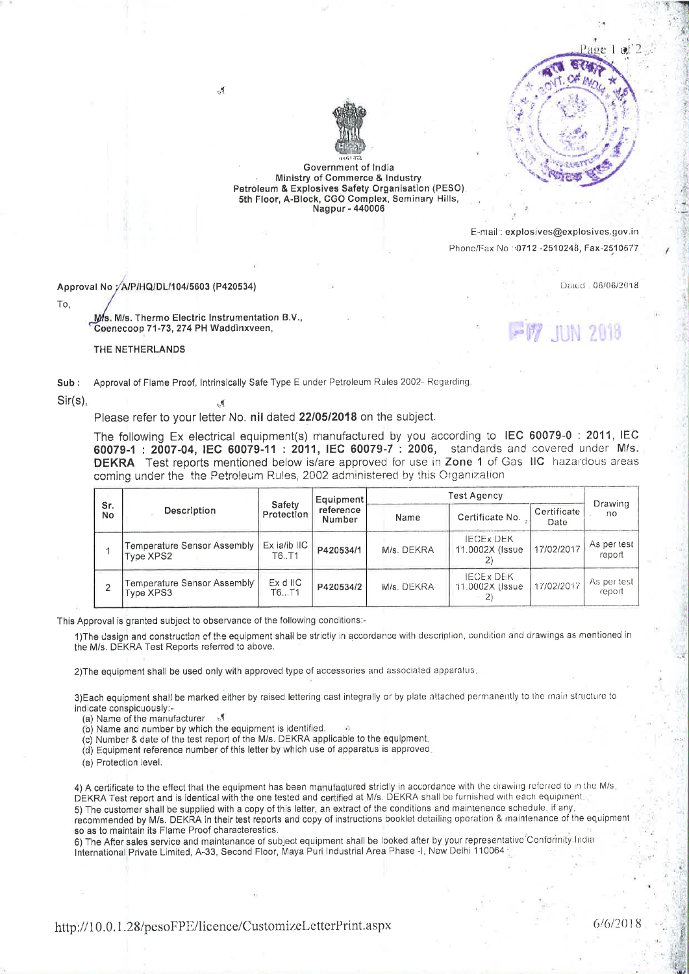

Dated 06/06/2018



Government of India Ministry of Commerce & Industry Petroleum & Explosives Safety Organisation (PESO) 5th Floor, A-Block, CGO Complex, Seminary Hills, Nagpur - 440006

> E-mail: explosives@explosives.gov.in Phone/Fax No: 0712-2510248, Fax-2510577

Approval No /A/P/HQ/DL/104/5603 (P420534)

To.

Ms. M/s. Thermo Electric Instrumentation B.V., Coenecoop 71-73, 274 PH Waddinxveen,

 $\mathcal{A}$ 

, g

THE NETHERLANDS

Approval of Flame Proof, Intrinsically Safe Type E under Petroleum Rules 2002- Regarding  $Sub:$ 

 $Sir(s)$ .

Please refer to your letter No. nil dated 22/05/2018 on the subject.

The following Ex electrical equipment(s) manufactured by you according to IEC 60079-0 : 2011, IEC 60079-1: 2007-04, IEC 60079-11: 2011, IEC 60079-7: 2006, standards and covered under M/s. DEKRA Test reports mentioned below is/are approved for use in Zone 1 of Gas IIC hazardous areas coming under the the Petroleum Rules, 2002 administered by this Organization

| Sr.<br>No | Description                              | Safety<br>Protection     | Equipment<br>reference<br>Number | Test Agency |                                      |                     | Drawing                 |
|-----------|------------------------------------------|--------------------------|----------------------------------|-------------|--------------------------------------|---------------------|-------------------------|
|           |                                          |                          |                                  | Name        | Certificate No.                      | Certificate<br>Date | no.                     |
|           | Temperature Sensor Assembly<br>Type XPS2 | $Ex$ ia/ib $IC$<br>T6.T1 | P420534/1                        | M/s. DEKRA  | <b>IECEX DEK</b><br>11.0002X (Issue) | 17/02/2017          | As per test<br>report   |
|           | Temperature Sensor Assembly<br>Type XPS3 | Ex d IIC<br>T6…T1        | P420534/2                        | M/s. DEKRA  | <b>IECEX DEK</b><br>11.0002X (Issue) | 17/02/2017          | As per test  <br>report |

This Approval is granted subject to observance of the following conditions:-

1) The design and construction of the equipment shall be strictly in accordance with description, condition and drawings as mentioned in the M/s. DEKRA Test Reports referred to above.

2) The equipment shall be used only with approved type of accessories and associated apparatus.

3) Each equipment shall be marked either by raised lettering cast integrally or by plate attached permanently to the main structure to indicate conspicuously:-

(a) Name of the manufacturer

(b) Name and number by which the equipment is identified.

(c) Number & date of the test report of the M/s. DEKRA applicable to the equipment.

(d) Equipment reference number of this letter by which use of apparatus is approved.

(e) Protection level.

4) A certificate to the effect that the equipment has been manufactured strictly in accordance with the drawing referred to in the M/s. DEKRA Test report and is identical with the one tested and certified at M/s. DEKRA shall be furnished with each equipment. 5) The customer shall be supplied with a copy of this letter, an extract of the conditions and maintenence schedule, if any, recommended by M/s. DEKRA in their test reports and copy of instructions booklet detailing operation & maintenance of the equipment so as to maintain its Flame Proof characterestics.

6) The After sales service and maintanance of subject equipment shall be looked after by your representative Conformity India International Private Limited, A-33, Second Floor, Maya Puri Industrial Area Phase -I, New Delhi 110064